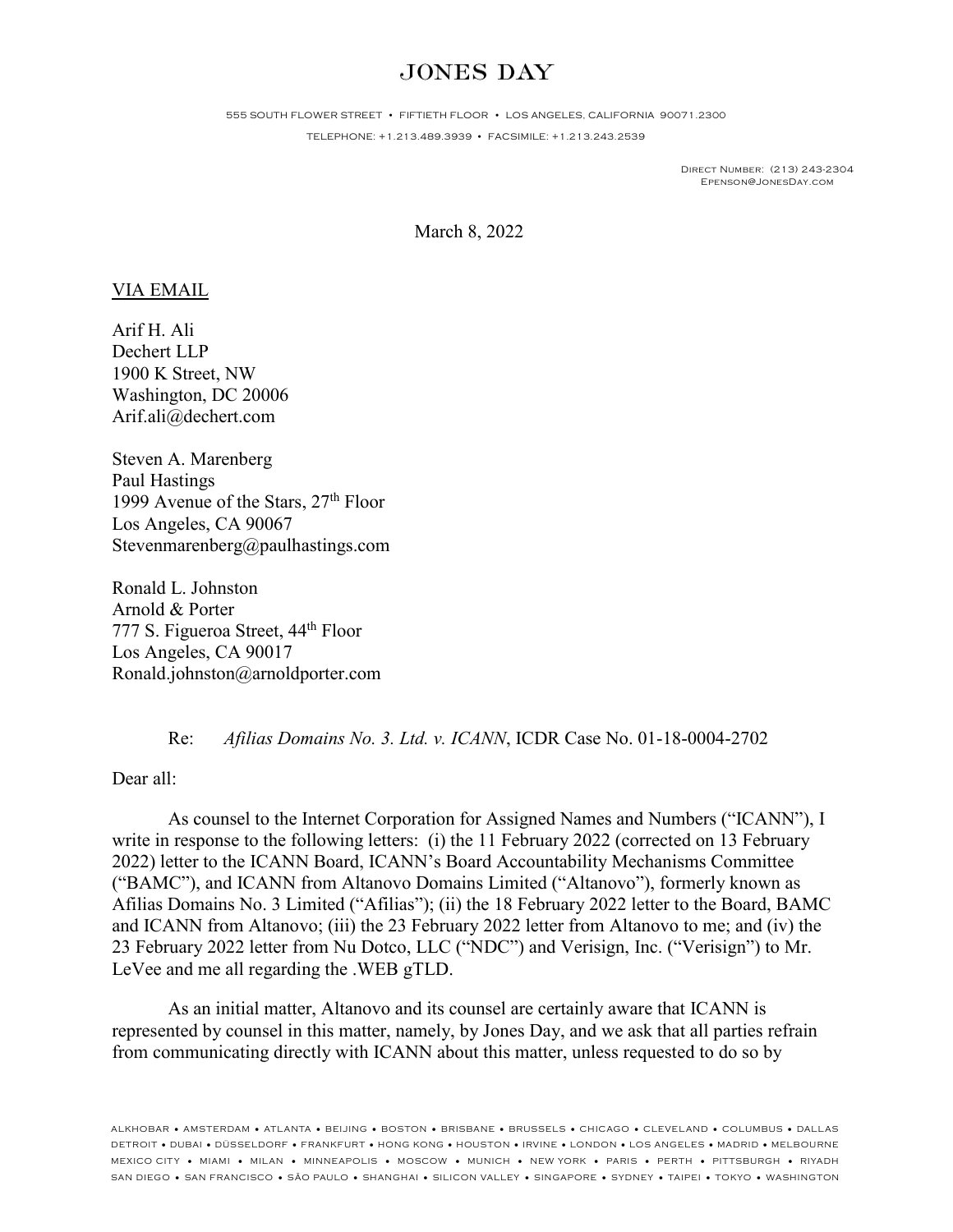## **JONES DAY**

555 SOUTH FLOWER STREET • FIFTIETH FLOOR • LOS ANGELES, CALIFORNIA 90071.2300

TELEPHONE: +1.213.489.3939 • FACSIMILE: +1.213.243.2539

Direct Number: (213) 243-2304 Epenson@JonesDay.com

March 8, 2022

## VIA EMAIL

Arif H. Ali Dechert LLP 1900 K Street, NW Washington, DC 20006 Arif.ali@dechert.com

Steven A. Marenberg Paul Hastings 1999 Avenue of the Stars, 27<sup>th</sup> Floor Los Angeles, CA 90067 Stevenmarenberg@paulhastings.com

Ronald L. Johnston Arnold & Porter 777 S. Figueroa Street, 44th Floor Los Angeles, CA 90017 Ronald.johnston@arnoldporter.com

Re: *Afilias Domains No. 3. Ltd. v. ICANN*, ICDR Case No. 01-18-0004-2702

## Dear all:

As counsel to the Internet Corporation for Assigned Names and Numbers ("ICANN"), I write in response to the following letters: (i) the 11 February 2022 (corrected on 13 February 2022) letter to the ICANN Board, ICANN's Board Accountability Mechanisms Committee ("BAMC"), and ICANN from Altanovo Domains Limited ("Altanovo"), formerly known as Afilias Domains No. 3 Limited ("Afilias"); (ii) the 18 February 2022 letter to the Board, BAMC and ICANN from Altanovo; (iii) the 23 February 2022 letter from Altanovo to me; and (iv) the 23 February 2022 letter from Nu Dotco, LLC ("NDC") and Verisign, Inc. ("Verisign") to Mr. LeVee and me all regarding the .WEB gTLD.

As an initial matter, Altanovo and its counsel are certainly aware that ICANN is represented by counsel in this matter, namely, by Jones Day, and we ask that all parties refrain from communicating directly with ICANN about this matter, unless requested to do so by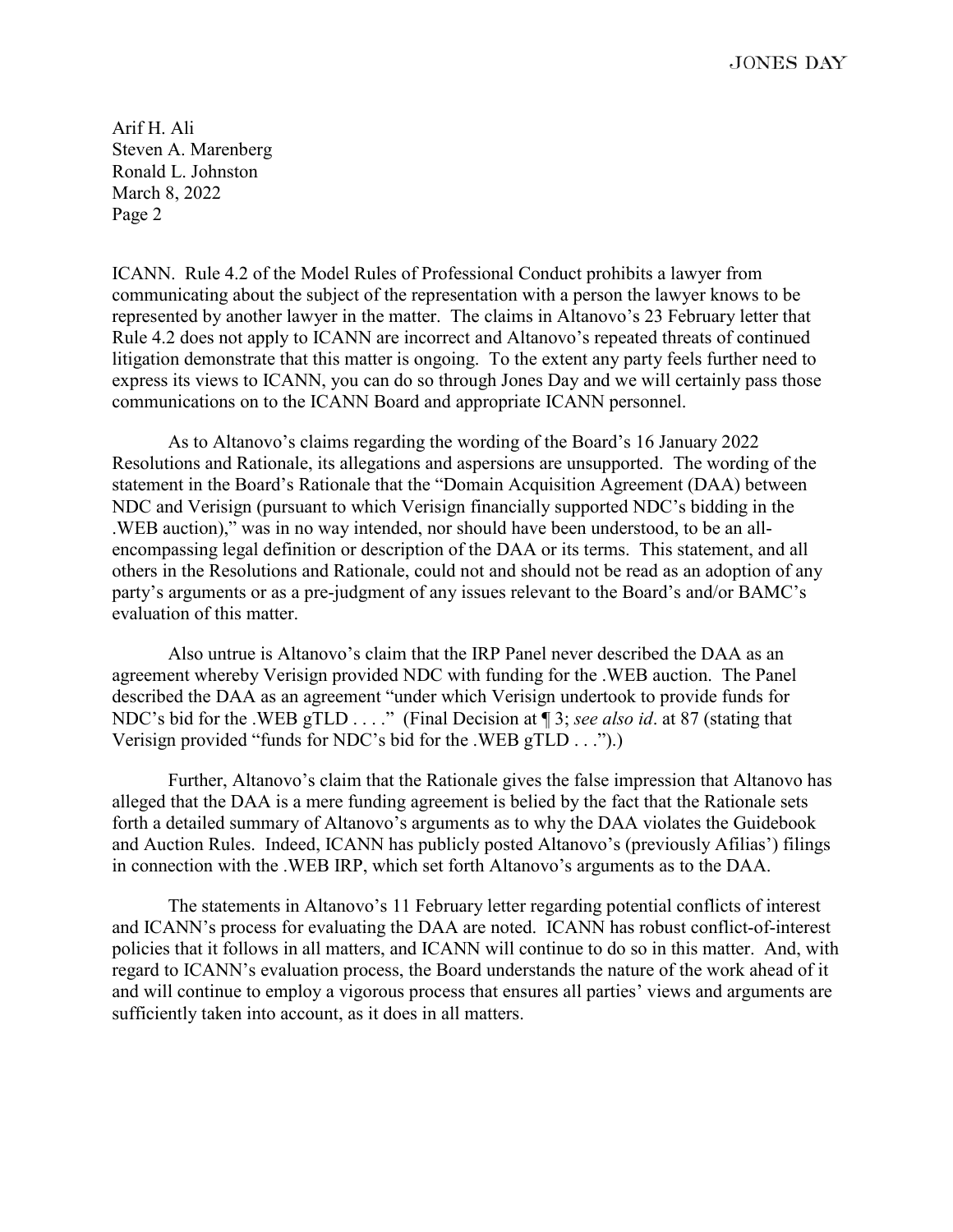**JONES DAY** 

Arif H. Ali Steven A. Marenberg Ronald L. Johnston March 8, 2022 Page 2

ICANN. Rule 4.2 of the Model Rules of Professional Conduct prohibits a lawyer from communicating about the subject of the representation with a person the lawyer knows to be represented by another lawyer in the matter. The claims in Altanovo's 23 February letter that Rule 4.2 does not apply to ICANN are incorrect and Altanovo's repeated threats of continued litigation demonstrate that this matter is ongoing. To the extent any party feels further need to express its views to ICANN, you can do so through Jones Day and we will certainly pass those communications on to the ICANN Board and appropriate ICANN personnel.

As to Altanovo's claims regarding the wording of the Board's 16 January 2022 Resolutions and Rationale, its allegations and aspersions are unsupported. The wording of the statement in the Board's Rationale that the "Domain Acquisition Agreement (DAA) between NDC and Verisign (pursuant to which Verisign financially supported NDC's bidding in the .WEB auction)," was in no way intended, nor should have been understood, to be an allencompassing legal definition or description of the DAA or its terms. This statement, and all others in the Resolutions and Rationale, could not and should not be read as an adoption of any party's arguments or as a pre-judgment of any issues relevant to the Board's and/or BAMC's evaluation of this matter.

Also untrue is Altanovo's claim that the IRP Panel never described the DAA as an agreement whereby Verisign provided NDC with funding for the .WEB auction. The Panel described the DAA as an agreement "under which Verisign undertook to provide funds for NDC's bid for the .WEB gTLD . . . ." (Final Decision at ¶ 3; *see also id*. at 87 (stating that Verisign provided "funds for NDC's bid for the .WEB gTLD . . .").)

Further, Altanovo's claim that the Rationale gives the false impression that Altanovo has alleged that the DAA is a mere funding agreement is belied by the fact that the Rationale sets forth a detailed summary of Altanovo's arguments as to why the DAA violates the Guidebook and Auction Rules. Indeed, ICANN has publicly posted Altanovo's (previously Afilias') filings in connection with the .WEB IRP, which set forth Altanovo's arguments as to the DAA.

The statements in Altanovo's 11 February letter regarding potential conflicts of interest and ICANN's process for evaluating the DAA are noted. ICANN has robust conflict-of-interest policies that it follows in all matters, and ICANN will continue to do so in this matter. And, with regard to ICANN's evaluation process, the Board understands the nature of the work ahead of it and will continue to employ a vigorous process that ensures all parties' views and arguments are sufficiently taken into account, as it does in all matters.